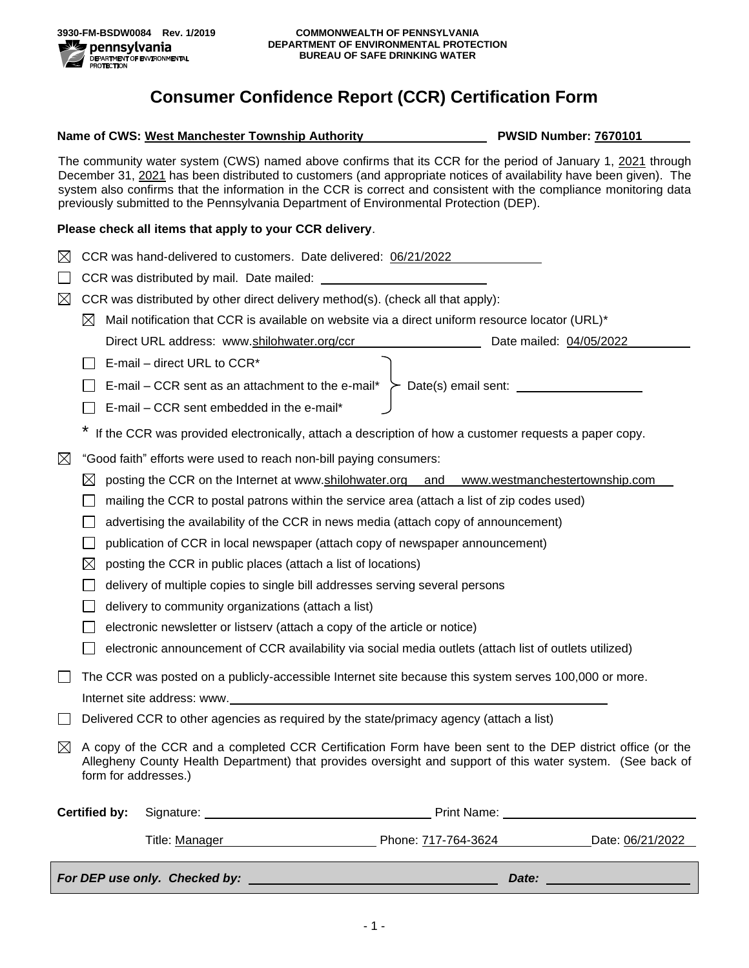## **Consumer Confidence Report (CCR) Certification Form**

## **Name of CWS: West Manchester Township Authority <b>PWSID Number: 7670101**

The community water system (CWS) named above confirms that its CCR for the period of January 1, 2021 through December 31, 2021 has been distributed to customers (and appropriate notices of availability have been given). The system also confirms that the information in the CCR is correct and consistent with the compliance monitoring data previously submitted to the Pennsylvania Department of Environmental Protection (DEP).

## **Please check all items that apply to your CCR delivery**.

| $\boxtimes$                                                                                           |                                                                                                                                                                                                                                                  | CCR was hand-delivered to customers. Date delivered: 06/21/2022                                        |  |                                         |                                                                                                                |  |
|-------------------------------------------------------------------------------------------------------|--------------------------------------------------------------------------------------------------------------------------------------------------------------------------------------------------------------------------------------------------|--------------------------------------------------------------------------------------------------------|--|-----------------------------------------|----------------------------------------------------------------------------------------------------------------|--|
|                                                                                                       |                                                                                                                                                                                                                                                  |                                                                                                        |  |                                         |                                                                                                                |  |
| ⊠                                                                                                     | CCR was distributed by other direct delivery method(s). (check all that apply):                                                                                                                                                                  |                                                                                                        |  |                                         |                                                                                                                |  |
|                                                                                                       | $\boxtimes$                                                                                                                                                                                                                                      | Mail notification that CCR is available on website via a direct uniform resource locator (URL)*        |  |                                         |                                                                                                                |  |
|                                                                                                       |                                                                                                                                                                                                                                                  | Direct URL address: www.shilohwater.org/ccr                                                            |  | <u> 1990 - Johann Barbara, martin a</u> | Date mailed: 04/05/2022                                                                                        |  |
|                                                                                                       |                                                                                                                                                                                                                                                  | E-mail – direct URL to $CCR^*$                                                                         |  |                                         |                                                                                                                |  |
|                                                                                                       |                                                                                                                                                                                                                                                  | E-mail – CCR sent as an attachment to the e-mail* $\geq$ Date(s) email sent:                           |  |                                         |                                                                                                                |  |
|                                                                                                       |                                                                                                                                                                                                                                                  | E-mail - CCR sent embedded in the e-mail*                                                              |  |                                         |                                                                                                                |  |
| If the CCR was provided electronically, attach a description of how a customer requests a paper copy. |                                                                                                                                                                                                                                                  |                                                                                                        |  |                                         |                                                                                                                |  |
| $\boxtimes$                                                                                           | "Good faith" efforts were used to reach non-bill paying consumers:                                                                                                                                                                               |                                                                                                        |  |                                         |                                                                                                                |  |
|                                                                                                       | posting the CCR on the Internet at www.shilohwater.org and www.westmanchestertownship.com<br>$\boxtimes$                                                                                                                                         |                                                                                                        |  |                                         |                                                                                                                |  |
|                                                                                                       | mailing the CCR to postal patrons within the service area (attach a list of zip codes used)                                                                                                                                                      |                                                                                                        |  |                                         |                                                                                                                |  |
|                                                                                                       | advertising the availability of the CCR in news media (attach copy of announcement)                                                                                                                                                              |                                                                                                        |  |                                         |                                                                                                                |  |
|                                                                                                       |                                                                                                                                                                                                                                                  | publication of CCR in local newspaper (attach copy of newspaper announcement)                          |  |                                         |                                                                                                                |  |
|                                                                                                       | $\boxtimes$                                                                                                                                                                                                                                      | posting the CCR in public places (attach a list of locations)                                          |  |                                         |                                                                                                                |  |
|                                                                                                       | delivery of multiple copies to single bill addresses serving several persons                                                                                                                                                                     |                                                                                                        |  |                                         |                                                                                                                |  |
|                                                                                                       |                                                                                                                                                                                                                                                  | delivery to community organizations (attach a list)                                                    |  |                                         |                                                                                                                |  |
|                                                                                                       |                                                                                                                                                                                                                                                  | electronic newsletter or listserv (attach a copy of the article or notice)                             |  |                                         |                                                                                                                |  |
|                                                                                                       |                                                                                                                                                                                                                                                  | electronic announcement of CCR availability via social media outlets (attach list of outlets utilized) |  |                                         |                                                                                                                |  |
|                                                                                                       | The CCR was posted on a publicly-accessible Internet site because this system serves 100,000 or more.                                                                                                                                            |                                                                                                        |  |                                         |                                                                                                                |  |
|                                                                                                       | Internet site address: www.                                                                                                                                                                                                                      |                                                                                                        |  |                                         |                                                                                                                |  |
|                                                                                                       | Delivered CCR to other agencies as required by the state/primacy agency (attach a list)                                                                                                                                                          |                                                                                                        |  |                                         |                                                                                                                |  |
| $\boxtimes$                                                                                           | A copy of the CCR and a completed CCR Certification Form have been sent to the DEP district office (or the<br>Allegheny County Health Department) that provides oversight and support of this water system. (See back of<br>form for addresses.) |                                                                                                        |  |                                         |                                                                                                                |  |
|                                                                                                       | <b>Certified by:</b>                                                                                                                                                                                                                             |                                                                                                        |  |                                         | Print Name: Name: Name and Name and Name and Name and Name and Name and Name and Name and Name and Name and Na |  |
|                                                                                                       |                                                                                                                                                                                                                                                  |                                                                                                        |  |                                         | Title: <u>Manager</u> Name 2012 2022 Phone: 717-764-3624 Date: 06/21/2022                                      |  |
|                                                                                                       |                                                                                                                                                                                                                                                  |                                                                                                        |  |                                         |                                                                                                                |  |
|                                                                                                       | Date: <u>______________</u>                                                                                                                                                                                                                      |                                                                                                        |  |                                         |                                                                                                                |  |